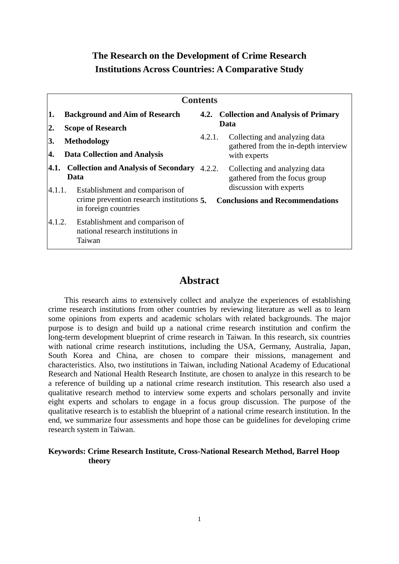## **The Research on the Development of Crime Research Institutions Across Countries: A Comparative Study**

| <b>Contents</b>        |                                                                                                                                             |                                                 |                                                                                                                                               |  |  |  |  |
|------------------------|---------------------------------------------------------------------------------------------------------------------------------------------|-------------------------------------------------|-----------------------------------------------------------------------------------------------------------------------------------------------|--|--|--|--|
| 1.<br>$\overline{2}$ . | <b>Background and Aim of Research</b><br><b>Scope of Research</b>                                                                           | 4.2. Collection and Analysis of Primary<br>Data |                                                                                                                                               |  |  |  |  |
| 3.<br>4.               | Methodology<br><b>Data Collection and Analysis</b>                                                                                          | 4.2.1.                                          | Collecting and analyzing data<br>gathered from the in-depth interview<br>with experts                                                         |  |  |  |  |
|                        | 4.1. Collection and Analysis of Secondary<br>Data<br>Establishment and comparison of<br>4.1.1.<br>crime prevention research institutions 5. |                                                 | 4.2.2.<br>Collecting and analyzing data<br>gathered from the focus group<br>discussion with experts<br><b>Conclusions and Recommendations</b> |  |  |  |  |
| 4.1.2.                 | in foreign countries<br>Establishment and comparison of<br>national research institutions in<br>Taiwan                                      |                                                 |                                                                                                                                               |  |  |  |  |

## **Abstract**

This research aims to extensively collect and analyze the experiences of establishing crime research institutions from other countries by reviewing literature as well as to learn some opinions from experts and academic scholars with related backgrounds. The major purpose is to design and build up a national crime research institution and confirm the long-term development blueprint of crime research in Taiwan. In this research, six countries with national crime research institutions, including the USA, Germany, Australia, Japan, South Korea and China, are chosen to compare their missions, management and characteristics. Also, two institutions in Taiwan, including National Academy of Educational Research and National Health Research Institute, are chosen to analyze in this research to be a reference of building up a national crime research institution. This research also used a qualitative research method to interview some experts and scholars personally and invite eight experts and scholars to engage in a focus group discussion. The purpose of the qualitative research is to establish the blueprint of a national crime research institution. In the end, we summarize four assessments and hope those can be guidelines for developing crime research system in Taiwan.

## **Keywords: Crime Research Institute, Cross-National Research Method, Barrel Hoop theory**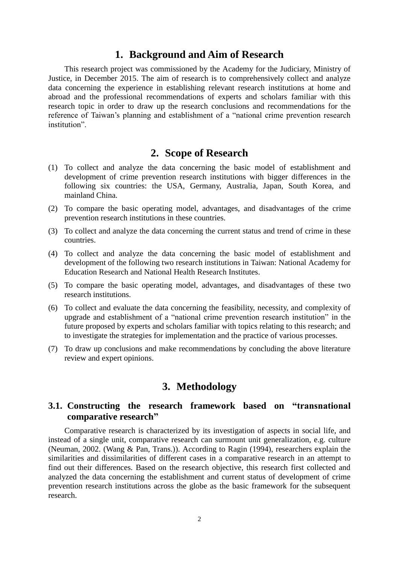## **1. Background and Aim of Research**

This research project was commissioned by the Academy for the Judiciary, Ministry of Justice, in December 2015. The aim of research is to comprehensively collect and analyze data concerning the experience in establishing relevant research institutions at home and abroad and the professional recommendations of experts and scholars familiar with this research topic in order to draw up the research conclusions and recommendations for the reference of Taiwan's planning and establishment of a "national crime prevention research institution"

## **2. Scope of Research**

- (1) To collect and analyze the data concerning the basic model of establishment and development of crime prevention research institutions with bigger differences in the following six countries: the USA, Germany, Australia, Japan, South Korea, and mainland China.
- (2) To compare the basic operating model, advantages, and disadvantages of the crime prevention research institutions in these countries.
- (3) To collect and analyze the data concerning the current status and trend of crime in these countries.
- (4) To collect and analyze the data concerning the basic model of establishment and development of the following two research institutions in Taiwan: National Academy for Education Research and National Health Research Institutes.
- (5) To compare the basic operating model, advantages, and disadvantages of these two research institutions.
- (6) To collect and evaluate the data concerning the feasibility, necessity, and complexity of upgrade and establishment of a "national crime prevention research institution" in the future proposed by experts and scholars familiar with topics relating to this research; and to investigate the strategies for implementation and the practice of various processes.
- (7) To draw up conclusions and make recommendations by concluding the above literature review and expert opinions.

## **3. Methodology**

## **3.1. Constructing the research framework based on "transnational comparative research"**

Comparative research is characterized by its investigation of aspects in social life, and instead of a single unit, comparative research can surmount unit generalization, e.g. culture (Neuman, 2002. (Wang & Pan, Trans.)). According to Ragin (1994), researchers explain the similarities and dissimilarities of different cases in a comparative research in an attempt to find out their differences. Based on the research objective, this research first collected and analyzed the data concerning the establishment and current status of development of crime prevention research institutions across the globe as the basic framework for the subsequent research.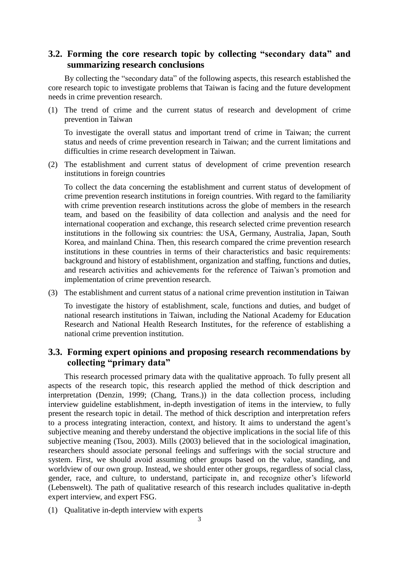## **3.2. Forming the core research topic by collecting "secondary data" and summarizing research conclusions**

By collecting the "secondary data" of the following aspects, this research established the core research topic to investigate problems that Taiwan is facing and the future development needs in crime prevention research.

(1) The trend of crime and the current status of research and development of crime prevention in Taiwan

To investigate the overall status and important trend of crime in Taiwan; the current status and needs of crime prevention research in Taiwan; and the current limitations and difficulties in crime research development in Taiwan.

(2) The establishment and current status of development of crime prevention research institutions in foreign countries

To collect the data concerning the establishment and current status of development of crime prevention research institutions in foreign countries. With regard to the familiarity with crime prevention research institutions across the globe of members in the research team, and based on the feasibility of data collection and analysis and the need for international cooperation and exchange, this research selected crime prevention research institutions in the following six countries: the USA, Germany, Australia, Japan, South Korea, and mainland China. Then, this research compared the crime prevention research institutions in these countries in terms of their characteristics and basic requirements: background and history of establishment, organization and staffing, functions and duties, and research activities and achievements for the reference of Taiwan's promotion and implementation of crime prevention research.

(3) The establishment and current status of a national crime prevention institution in Taiwan

To investigate the history of establishment, scale, functions and duties, and budget of national research institutions in Taiwan, including the National Academy for Education Research and National Health Research Institutes, for the reference of establishing a national crime prevention institution.

## **3.3. Forming expert opinions and proposing research recommendations by collecting "primary data"**

This research processed primary data with the qualitative approach. To fully present all aspects of the research topic, this research applied the method of thick description and interpretation (Denzin, 1999; (Chang, Trans.)) in the data collection process, including interview guideline establishment, in-depth investigation of items in the interview, to fully present the research topic in detail. The method of thick description and interpretation refers to a process integrating interaction, context, and history. It aims to understand the agent's subjective meaning and thereby understand the objective implications in the social life of this subjective meaning (Tsou, 2003). Mills (2003) believed that in the sociological imagination, researchers should associate personal feelings and sufferings with the social structure and system. First, we should avoid assuming other groups based on the value, standing, and worldview of our own group. Instead, we should enter other groups, regardless of social class, gender, race, and culture, to understand, participate in, and recognize other's lifeworld (Lebenswelt). The path of qualitative research of this research includes qualitative in-depth expert interview, and expert FSG.

(1) Qualitative in-depth interview with experts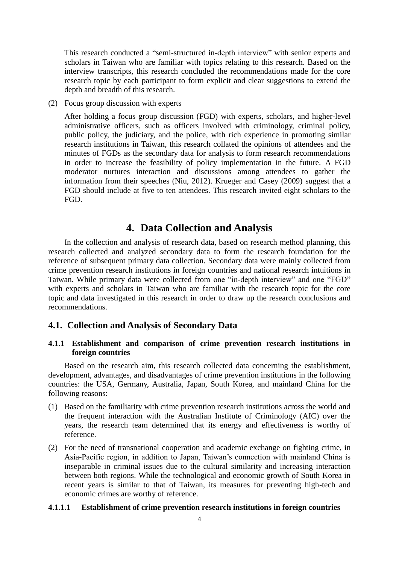This research conducted a "semi-structured in-depth interview" with senior experts and scholars in Taiwan who are familiar with topics relating to this research. Based on the interview transcripts, this research concluded the recommendations made for the core research topic by each participant to form explicit and clear suggestions to extend the depth and breadth of this research.

(2) Focus group discussion with experts

After holding a focus group discussion (FGD) with experts, scholars, and higher-level administrative officers, such as officers involved with criminology, criminal policy, public policy, the judiciary, and the police, with rich experience in promoting similar research institutions in Taiwan, this research collated the opinions of attendees and the minutes of FGDs as the secondary data for analysis to form research recommendations in order to increase the feasibility of policy implementation in the future. A FGD moderator nurtures interaction and discussions among attendees to gather the information from their speeches (Niu, 2012). Krueger and Casey (2009) suggest that a FGD should include at five to ten attendees. This research invited eight scholars to the FGD.

## **4. Data Collection and Analysis**

In the collection and analysis of research data, based on research method planning, this research collected and analyzed secondary data to form the research foundation for the reference of subsequent primary data collection. Secondary data were mainly collected from crime prevention research institutions in foreign countries and national research intuitions in Taiwan. While primary data were collected from one "in-depth interview" and one "FGD" with experts and scholars in Taiwan who are familiar with the research topic for the core topic and data investigated in this research in order to draw up the research conclusions and recommendations.

#### **4.1. Collection and Analysis of Secondary Data**

### **4.1.1 Establishment and comparison of crime prevention research institutions in foreign countries**

Based on the research aim, this research collected data concerning the establishment, development, advantages, and disadvantages of crime prevention institutions in the following countries: the USA, Germany, Australia, Japan, South Korea, and mainland China for the following reasons:

- (1) Based on the familiarity with crime prevention research institutions across the world and the frequent interaction with the Australian Institute of Criminology (AIC) over the years, the research team determined that its energy and effectiveness is worthy of reference.
- (2) For the need of transnational cooperation and academic exchange on fighting crime, in Asia-Pacific region, in addition to Japan, Taiwan's connection with mainland China is inseparable in criminal issues due to the cultural similarity and increasing interaction between both regions. While the technological and economic growth of South Korea in recent years is similar to that of Taiwan, its measures for preventing high-tech and economic crimes are worthy of reference.

#### **4.1.1.1 Establishment of crime prevention research institutions in foreign countries**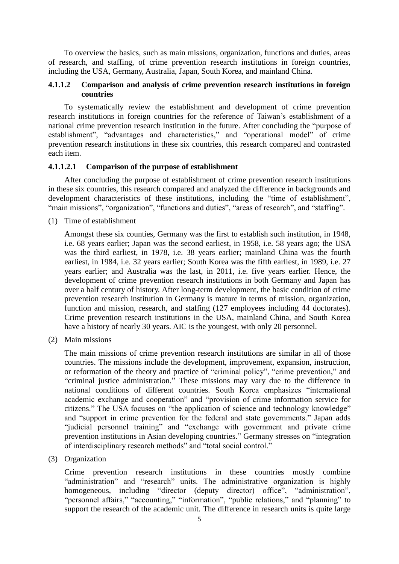To overview the basics, such as main missions, organization, functions and duties, areas of research, and staffing, of crime prevention research institutions in foreign countries, including the USA, Germany, Australia, Japan, South Korea, and mainland China.

## **4.1.1.2 Comparison and analysis of crime prevention research institutions in foreign countries**

To systematically review the establishment and development of crime prevention research institutions in foreign countries for the reference of Taiwan's establishment of a national crime prevention research institution in the future. After concluding the "purpose of establishment", "advantages and characteristics," and "operational model" of crime prevention research institutions in these six countries, this research compared and contrasted each item.

#### **4.1.1.2.1 Comparison of the purpose of establishment**

After concluding the purpose of establishment of crime prevention research institutions in these six countries, this research compared and analyzed the difference in backgrounds and development characteristics of these institutions, including the "time of establishment", "main missions", "organization", "functions and duties", "areas of research", and "staffing".

(1) Time of establishment

Amongst these six counties, Germany was the first to establish such institution, in 1948, i.e. 68 years earlier; Japan was the second earliest, in 1958, i.e. 58 years ago; the USA was the third earliest, in 1978, i.e. 38 years earlier; mainland China was the fourth earliest, in 1984, i.e. 32 years earlier; South Korea was the fifth earliest, in 1989, i.e. 27 years earlier; and Australia was the last, in 2011, i.e. five years earlier. Hence, the development of crime prevention research institutions in both Germany and Japan has over a half century of history. After long-term development, the basic condition of crime prevention research institution in Germany is mature in terms of mission, organization, function and mission, research, and staffing (127 employees including 44 doctorates). Crime prevention research institutions in the USA, mainland China, and South Korea have a history of nearly 30 years. AIC is the youngest, with only 20 personnel.

(2) Main missions

The main missions of crime prevention research institutions are similar in all of those countries. The missions include the development, improvement, expansion, instruction, or reformation of the theory and practice of "criminal policy", "crime prevention," and "criminal justice administration." These missions may vary due to the difference in national conditions of different countries. South Korea emphasizes "international academic exchange and cooperation" and "provision of crime information service for citizens." The USA focuses on "the application of science and technology knowledge" and "support in crime prevention for the federal and state governments." Japan adds "judicial personnel training" and "exchange with government and private crime prevention institutions in Asian developing countries." Germany stresses on "integration of interdisciplinary research methods" and "total social control."

(3) Organization

Crime prevention research institutions in these countries mostly combine "administration" and "research" units. The administrative organization is highly homogeneous, including "director (deputy director) office", "administration", "personnel affairs," "accounting," "information", "public relations," and "planning" to support the research of the academic unit. The difference in research units is quite large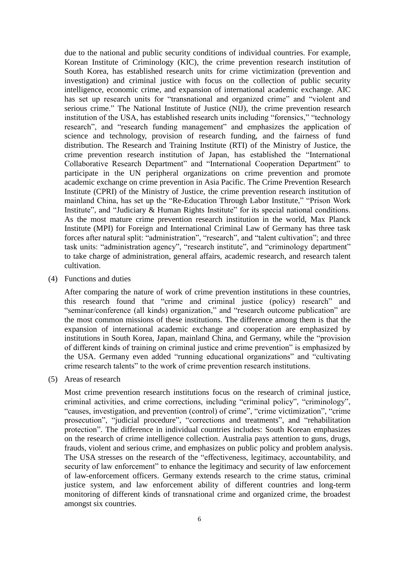due to the national and public security conditions of individual countries. For example, Korean Institute of Criminology (KIC), the crime prevention research institution of South Korea, has established research units for crime victimization (prevention and investigation) and criminal justice with focus on the collection of public security intelligence, economic crime, and expansion of international academic exchange. AIC has set up research units for "transnational and organized crime" and "violent and serious crime." The National Institute of Justice (NIJ), the crime prevention research institution of the USA, has established research units including "forensics," "technology research", and "research funding management" and emphasizes the application of science and technology, provision of research funding, and the fairness of fund distribution. The Research and Training Institute (RTI) of the Ministry of Justice, the crime prevention research institution of Japan, has established the "International Collaborative Research Department" and "International Cooperation Department" to participate in the UN peripheral organizations on crime prevention and promote academic exchange on crime prevention in Asia Pacific. The Crime Prevention Research Institute (CPRI) of the Ministry of Justice, the crime prevention research institution of mainland China, has set up the "Re-Education Through Labor Institute," "Prison Work Institute", and "Judiciary & Human Rights Institute" for its special national conditions. As the most mature crime prevention research institution in the world, Max Planck Institute (MPI) for Foreign and International Criminal Law of Germany has three task forces after natural split: "administration", "research", and "talent cultivation"; and three task units: "administration agency", "research institute", and "criminology department" to take charge of administration, general affairs, academic research, and research talent cultivation.

(4) Functions and duties

After comparing the nature of work of crime prevention institutions in these countries, this research found that "crime and criminal justice (policy) research" and "seminar/conference (all kinds) organization," and "research outcome publication" are the most common missions of these institutions. The difference among them is that the expansion of international academic exchange and cooperation are emphasized by institutions in South Korea, Japan, mainland China, and Germany, while the "provision of different kinds of training on criminal justice and crime prevention" is emphasized by the USA. Germany even added "running educational organizations" and "cultivating crime research talents" to the work of crime prevention research institutions.

(5) Areas of research

Most crime prevention research institutions focus on the research of criminal justice, criminal activities, and crime corrections, including "criminal policy", "criminology", "causes, investigation, and prevention (control) of crime", "crime victimization", "crime prosecution", "judicial procedure", "corrections and treatments", and "rehabilitation protection". The difference in individual countries includes: South Korean emphasizes on the research of crime intelligence collection. Australia pays attention to guns, drugs, frauds, violent and serious crime, and emphasizes on public policy and problem analysis. The USA stresses on the research of the "effectiveness, legitimacy, accountability, and security of law enforcement" to enhance the legitimacy and security of law enforcement of law-enforcement officers. Germany extends research to the crime status, criminal justice system, and law enforcement ability of different countries and long-term monitoring of different kinds of transnational crime and organized crime, the broadest amongst six countries.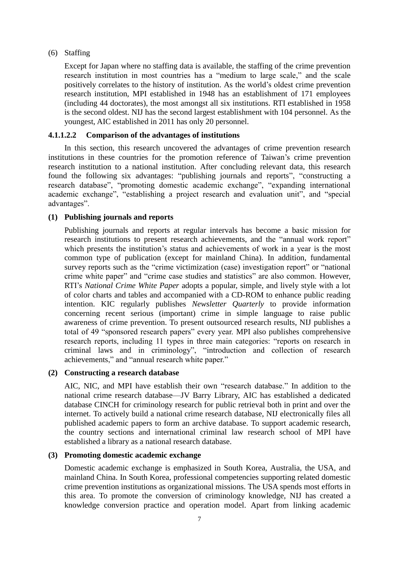#### (6) Staffing

Except for Japan where no staffing data is available, the staffing of the crime prevention research institution in most countries has a "medium to large scale," and the scale positively correlates to the history of institution. As the world's oldest crime prevention research institution, MPI established in 1948 has an establishment of 171 employees (including 44 doctorates), the most amongst all six institutions. RTI established in 1958 is the second oldest. NIJ has the second largest establishment with 104 personnel. As the youngest, AIC established in 2011 has only 20 personnel.

#### **4.1.1.2.2 Comparison of the advantages of institutions**

In this section, this research uncovered the advantages of crime prevention research institutions in these countries for the promotion reference of Taiwan's crime prevention research institution to a national institution. After concluding relevant data, this research found the following six advantages: "publishing journals and reports", "constructing a research database", "promoting domestic academic exchange", "expanding international academic exchange", "establishing a project research and evaluation unit", and "special advantages".

## **(1) Publishing journals and reports**

Publishing journals and reports at regular intervals has become a basic mission for research institutions to present research achievements, and the "annual work report" which presents the institution's status and achievements of work in a year is the most common type of publication (except for mainland China). In addition, fundamental survey reports such as the "crime victimization (case) investigation report" or "national crime white paper" and "crime case studies and statistics" are also common. However, RTI's *National Crime White Paper* adopts a popular, simple, and lively style with a lot of color charts and tables and accompanied with a CD-ROM to enhance public reading intention. KIC regularly publishes *Newsletter Quarterly* to provide information concerning recent serious (important) crime in simple language to raise public awareness of crime prevention. To present outsourced research results, NIJ publishes a total of 49 "sponsored research papers" every year. MPI also publishes comprehensive research reports, including 11 types in three main categories: "reports on research in criminal laws and in criminology", "introduction and collection of research achievements," and "annual research white paper."

### **(2) Constructing a research database**

AIC, NIC, and MPI have establish their own "research database." In addition to the national crime research database—JV Barry Library, AIC has established a dedicated database CINCH for criminology research for public retrieval both in print and over the internet. To actively build a national crime research database, NIJ electronically files all published academic papers to form an archive database. To support academic research, the country sections and international criminal law research school of MPI have established a library as a national research database.

#### **(3) Promoting domestic academic exchange**

Domestic academic exchange is emphasized in South Korea, Australia, the USA, and mainland China. In South Korea, professional competencies supporting related domestic crime prevention institutions as organizational missions. The USA spends most efforts in this area. To promote the conversion of criminology knowledge, NIJ has created a knowledge conversion practice and operation model. Apart from linking academic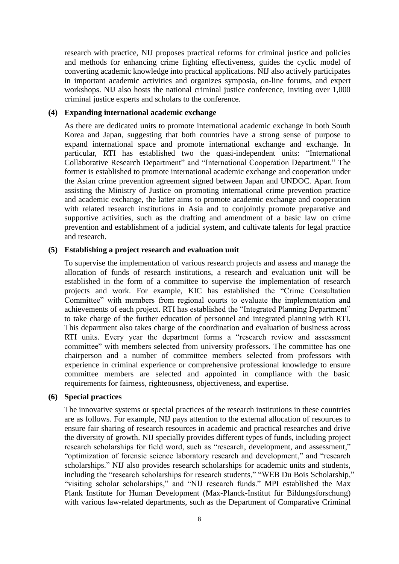research with practice, NIJ proposes practical reforms for criminal justice and policies and methods for enhancing crime fighting effectiveness, guides the cyclic model of converting academic knowledge into practical applications. NIJ also actively participates in important academic activities and organizes symposia, on-line forums, and expert workshops. NIJ also hosts the national criminal justice conference, inviting over 1,000 criminal justice experts and scholars to the conference.

#### **(4) Expanding international academic exchange**

As there are dedicated units to promote international academic exchange in both South Korea and Japan, suggesting that both countries have a strong sense of purpose to expand international space and promote international exchange and exchange. In particular, RTI has established two the quasi-independent units: "International Collaborative Research Department" and "International Cooperation Department." The former is established to promote international academic exchange and cooperation under the Asian crime prevention agreement signed between Japan and UNDOC. Apart from assisting the Ministry of Justice on promoting international crime prevention practice and academic exchange, the latter aims to promote academic exchange and cooperation with related research institutions in Asia and to conjointly promote preparative and supportive activities, such as the drafting and amendment of a basic law on crime prevention and establishment of a judicial system, and cultivate talents for legal practice and research.

#### **(5) Establishing a project research and evaluation unit**

To supervise the implementation of various research projects and assess and manage the allocation of funds of research institutions, a research and evaluation unit will be established in the form of a committee to supervise the implementation of research projects and work. For example, KIC has established the "Crime Consultation Committee" with members from regional courts to evaluate the implementation and achievements of each project. RTI has established the "Integrated Planning Department" to take charge of the further education of personnel and integrated planning with RTI. This department also takes charge of the coordination and evaluation of business across RTI units. Every year the department forms a "research review and assessment committee" with members selected from university professors. The committee has one chairperson and a number of committee members selected from professors with experience in criminal experience or comprehensive professional knowledge to ensure committee members are selected and appointed in compliance with the basic requirements for fairness, righteousness, objectiveness, and expertise.

## **(6) Special practices**

The innovative systems or special practices of the research institutions in these countries are as follows. For example, NIJ pays attention to the external allocation of resources to ensure fair sharing of research resources in academic and practical researches and drive the diversity of growth. NIJ specially provides different types of funds, including project research scholarships for field word, such as "research, development, and assessment," "optimization of forensic science laboratory research and development," and "research scholarships." NIJ also provides research scholarships for academic units and students, including the "research scholarships for research students," "WEB Du Bois Scholarship," "visiting scholar scholarships," and "NIJ research funds." MPI established the Max Plank Institute for Human Development (Max-Planck-Institut für Bildungsforschung) with various law-related departments, such as the Department of Comparative Criminal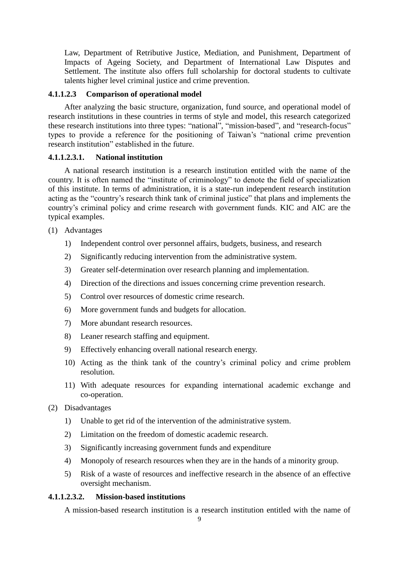Law, Department of Retributive Justice, Mediation, and Punishment, Department of Impacts of Ageing Society, and Department of International Law Disputes and Settlement. The institute also offers full scholarship for doctoral students to cultivate talents higher level criminal justice and crime prevention.

#### **4.1.1.2.3 Comparison of operational model**

After analyzing the basic structure, organization, fund source, and operational model of research institutions in these countries in terms of style and model, this research categorized these research institutions into three types: "national", "mission-based", and "research-focus" types to provide a reference for the positioning of Taiwan's "national crime prevention research institution" established in the future.

### **4.1.1.2.3.1. National institution**

A national research institution is a research institution entitled with the name of the country. It is often named the "institute of criminology" to denote the field of specialization of this institute. In terms of administration, it is a state-run independent research institution acting as the "country's research think tank of criminal justice" that plans and implements the country's criminal policy and crime research with government funds. KIC and AIC are the typical examples.

- (1) Advantages
	- 1) Independent control over personnel affairs, budgets, business, and research
	- 2) Significantly reducing intervention from the administrative system.
	- 3) Greater self-determination over research planning and implementation.
	- 4) Direction of the directions and issues concerning crime prevention research.
	- 5) Control over resources of domestic crime research.
	- 6) More government funds and budgets for allocation.
	- 7) More abundant research resources.
	- 8) Leaner research staffing and equipment.
	- 9) Effectively enhancing overall national research energy.
	- 10) Acting as the think tank of the country's criminal policy and crime problem resolution.
	- 11) With adequate resources for expanding international academic exchange and co-operation.
- (2) Disadvantages
	- 1) Unable to get rid of the intervention of the administrative system.
	- 2) Limitation on the freedom of domestic academic research.
	- 3) Significantly increasing government funds and expenditure
	- 4) Monopoly of research resources when they are in the hands of a minority group.
	- 5) Risk of a waste of resources and ineffective research in the absence of an effective oversight mechanism.

## **4.1.1.2.3.2. Mission-based institutions**

A mission-based research institution is a research institution entitled with the name of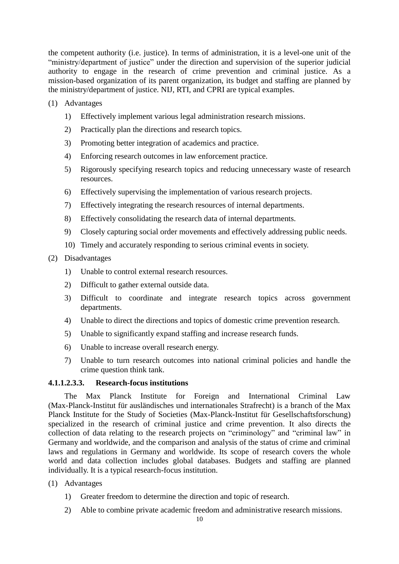the competent authority (i.e. justice). In terms of administration, it is a level-one unit of the "ministry/department of justice" under the direction and supervision of the superior judicial authority to engage in the research of crime prevention and criminal justice. As a mission-based organization of its parent organization, its budget and staffing are planned by the ministry/department of justice. NIJ, RTI, and CPRI are typical examples.

- (1) Advantages
	- 1) Effectively implement various legal administration research missions.
	- 2) Practically plan the directions and research topics.
	- 3) Promoting better integration of academics and practice.
	- 4) Enforcing research outcomes in law enforcement practice.
	- 5) Rigorously specifying research topics and reducing unnecessary waste of research resources.
	- 6) Effectively supervising the implementation of various research projects.
	- 7) Effectively integrating the research resources of internal departments.
	- 8) Effectively consolidating the research data of internal departments.
	- 9) Closely capturing social order movements and effectively addressing public needs.
	- 10) Timely and accurately responding to serious criminal events in society.

## (2) Disadvantages

- 1) Unable to control external research resources.
- 2) Difficult to gather external outside data.
- 3) Difficult to coordinate and integrate research topics across government departments.
- 4) Unable to direct the directions and topics of domestic crime prevention research.
- 5) Unable to significantly expand staffing and increase research funds.
- 6) Unable to increase overall research energy.
- 7) Unable to turn research outcomes into national criminal policies and handle the crime question think tank.

## **4.1.1.2.3.3. Research-focus institutions**

The Max Planck Institute for Foreign and International Criminal Law (Max-Planck-Institut für ausländisches und internationales Strafrecht) is a branch of the Max Planck Institute for the Study of Societies (Max-Planck-Institut für Gesellschaftsforschung) specialized in the research of criminal justice and crime prevention. It also directs the collection of data relating to the research projects on "criminology" and "criminal law" in Germany and worldwide, and the comparison and analysis of the status of crime and criminal laws and regulations in Germany and worldwide. Its scope of research covers the whole world and data collection includes global databases. Budgets and staffing are planned individually. It is a typical research-focus institution.

- (1) Advantages
	- 1) Greater freedom to determine the direction and topic of research.
	- 2) Able to combine private academic freedom and administrative research missions.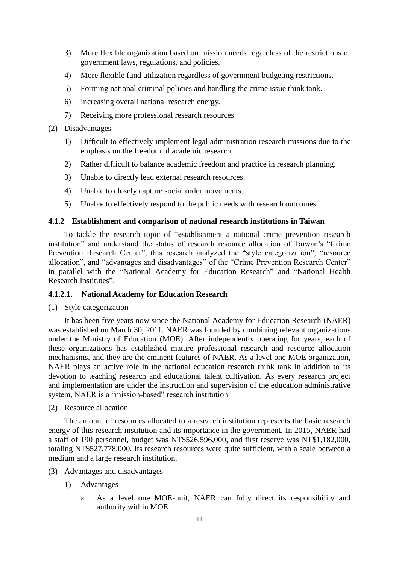- 3) More flexible organization based on mission needs regardless of the restrictions of government laws, regulations, and policies.
- 4) More flexible fund utilization regardless of government budgeting restrictions.
- 5) Forming national criminal policies and handling the crime issue think tank.
- 6) Increasing overall national research energy.
- 7) Receiving more professional research resources.
- (2) Disadvantages
	- 1) Difficult to effectively implement legal administration research missions due to the emphasis on the freedom of academic research.
	- 2) Rather difficult to balance academic freedom and practice in research planning.
	- 3) Unable to directly lead external research resources.
	- 4) Unable to closely capture social order movements.
	- 5) Unable to effectively respond to the public needs with research outcomes.

#### **4.1.2 Establishment and comparison of national research institutions in Taiwan**

To tackle the research topic of "establishment a national crime prevention research institution" and understand the status of research resource allocation of Taiwan's "Crime Prevention Research Center", this research analyzed the "style categorization", "resource allocation", and "advantages and disadvantages" of the "Crime Prevention Research Center" in parallel with the "National Academy for Education Research" and "National Health Research Institutes".

#### **4.1.2.1. National Academy for Education Research**

#### (1) Style categorization

It has been five years now since the National Academy for Education Research (NAER) was established on March 30, 2011. NAER was founded by combining relevant organizations under the Ministry of Education (MOE). After independently operating for years, each of these organizations has established mature professional research and resource allocation mechanisms, and they are the eminent features of NAER. As a level one MOE organization, NAER plays an active role in the national education research think tank in addition to its devotion to teaching research and educational talent cultivation. As every research project and implementation are under the instruction and supervision of the education administrative system, NAER is a "mission-based" research institution.

#### (2) Resource allocation

The amount of resources allocated to a research institution represents the basic research energy of this research institution and its importance in the government. In 2015, NAER had a staff of 190 personnel, budget was NT\$526,596,000, and first reserve was NT\$1,182,000, totaling NT\$527,778,000. Its research resources were quite sufficient, with a scale between a medium and a large research institution.

- (3) Advantages and disadvantages
	- 1) Advantages
		- a. As a level one MOE-unit, NAER can fully direct its responsibility and authority within MOE.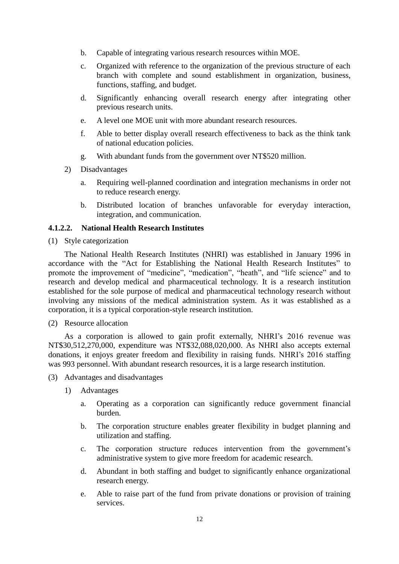- b. Capable of integrating various research resources within MOE.
- c. Organized with reference to the organization of the previous structure of each branch with complete and sound establishment in organization, business, functions, staffing, and budget.
- d. Significantly enhancing overall research energy after integrating other previous research units.
- e. A level one MOE unit with more abundant research resources.
- f. Able to better display overall research effectiveness to back as the think tank of national education policies.
- g. With abundant funds from the government over NT\$520 million.
- 2) Disadvantages
	- a. Requiring well-planned coordination and integration mechanisms in order not to reduce research energy.
	- b. Distributed location of branches unfavorable for everyday interaction, integration, and communication.

#### **4.1.2.2. National Health Research Institutes**

(1) Style categorization

The National Health Research Institutes (NHRI) was established in January 1996 in accordance with the "Act for Establishing the National Health Research Institutes" to promote the improvement of "medicine", "medication", "heath", and "life science" and to research and develop medical and pharmaceutical technology. It is a research institution established for the sole purpose of medical and pharmaceutical technology research without involving any missions of the medical administration system. As it was established as a corporation, it is a typical corporation-style research institution.

#### (2) Resource allocation

As a corporation is allowed to gain profit externally, NHRI's 2016 revenue was NT\$30,512,270,000, expenditure was NT\$32,088,020,000. As NHRI also accepts external donations, it enjoys greater freedom and flexibility in raising funds. NHRI's 2016 staffing was 993 personnel. With abundant research resources, it is a large research institution.

- (3) Advantages and disadvantages
	- 1) Advantages
		- a. Operating as a corporation can significantly reduce government financial burden.
		- b. The corporation structure enables greater flexibility in budget planning and utilization and staffing.
		- c. The corporation structure reduces intervention from the government's administrative system to give more freedom for academic research.
		- d. Abundant in both staffing and budget to significantly enhance organizational research energy.
		- e. Able to raise part of the fund from private donations or provision of training services.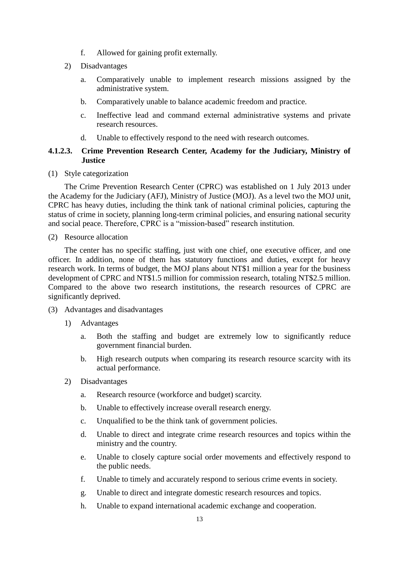- f. Allowed for gaining profit externally.
- 2) Disadvantages
	- a. Comparatively unable to implement research missions assigned by the administrative system.
	- b. Comparatively unable to balance academic freedom and practice.
	- c. Ineffective lead and command external administrative systems and private research resources.
	- d. Unable to effectively respond to the need with research outcomes.

## **4.1.2.3. Crime Prevention Research Center, Academy for the Judiciary, Ministry of Justice**

(1) Style categorization

The Crime Prevention Research Center (CPRC) was established on 1 July 2013 under the Academy for the Judiciary (AFJ), Ministry of Justice (MOJ). As a level two the MOJ unit, CPRC has heavy duties, including the think tank of national criminal policies, capturing the status of crime in society, planning long-term criminal policies, and ensuring national security and social peace. Therefore, CPRC is a "mission-based" research institution.

(2) Resource allocation

The center has no specific staffing, just with one chief, one executive officer, and one officer. In addition, none of them has statutory functions and duties, except for heavy research work. In terms of budget, the MOJ plans about NT\$1 million a year for the business development of CPRC and NT\$1.5 million for commission research, totaling NT\$2.5 million. Compared to the above two research institutions, the research resources of CPRC are significantly deprived.

- (3) Advantages and disadvantages
	- 1) Advantages
		- a. Both the staffing and budget are extremely low to significantly reduce government financial burden.
		- b. High research outputs when comparing its research resource scarcity with its actual performance.
	- 2) Disadvantages
		- a. Research resource (workforce and budget) scarcity.
		- b. Unable to effectively increase overall research energy.
		- c. Unqualified to be the think tank of government policies.
		- d. Unable to direct and integrate crime research resources and topics within the ministry and the country.
		- e. Unable to closely capture social order movements and effectively respond to the public needs.
		- f. Unable to timely and accurately respond to serious crime events in society.
		- g. Unable to direct and integrate domestic research resources and topics.
		- h. Unable to expand international academic exchange and cooperation.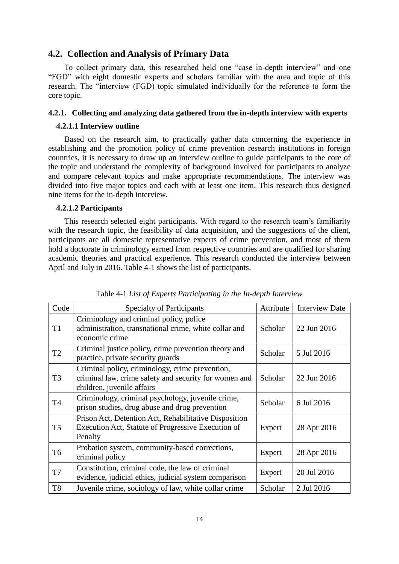### **4.2. Collection and Analysis of Primary Data**

To collect primary data, this researched held one "case in-depth interview" and one "FGD" with eight domestic experts and scholars familiar with the area and topic of this research. The "interview (FGD) topic simulated individually for the reference to form the core topic.

#### **4.2.1. Collecting and analyzing data gathered from the in-depth interview with experts**

#### **4.2.1.1 Interview outline**

Based on the research aim, to practically gather data concerning the experience in establishing and the promotion policy of crime prevention research institutions in foreign countries, it is necessary to draw up an interview outline to guide participants to the core of the topic and understand the complexity of background involved for participants to analyze and compare relevant topics and make appropriate recommendations. The interview was divided into five major topics and each with at least one item. This research thus designed nine items for the in-depth interview.

#### **4.2.1.2 Participants**

This research selected eight participants. With regard to the research team's familiarity with the research topic, the feasibility of data acquisition, and the suggestions of the client, participants are all domestic representative experts of crime prevention, and most of them hold a doctorate in criminology earned from respective countries and are qualified for sharing academic theories and practical experience. This research conducted the interview between April and July in 2016. Table 4-1 shows the list of participants.

| Code           | <b>Specialty of Participants</b>                                                                                                       | Attribute | <b>Interview Date</b> |
|----------------|----------------------------------------------------------------------------------------------------------------------------------------|-----------|-----------------------|
| T <sub>1</sub> | Criminology and criminal policy, police<br>administration, transnational crime, white collar and<br>economic crime                     | Scholar   | 22 Jun 2016           |
| T <sub>2</sub> | Criminal justice policy, crime prevention theory and<br>practice, private security guards                                              | Scholar   | 5 Jul 2016            |
| T <sub>3</sub> | Criminal policy, criminology, crime prevention,<br>criminal law, crime safety and security for women and<br>children, juvenile affairs | Scholar   | 22 Jun 2016           |
| <b>T4</b>      | Criminology, criminal psychology, juvenile crime,<br>prison studies, drug abuse and drug prevention                                    | Scholar   | 6 Jul 2016            |
| T <sub>5</sub> | Prison Act, Detention Act, Rehabilitative Disposition<br>Execution Act, Statute of Progressive Execution of<br>Penalty                 | Expert    | 28 Apr 2016           |
| T <sub>6</sub> | Probation system, community-based corrections,<br>criminal policy                                                                      | Expert    | 28 Apr 2016           |
| T <sub>7</sub> | Constitution, criminal code, the law of criminal<br>evidence, judicial ethics, judicial system comparison                              | Expert    | 20 Jul 2016           |
| T <sub>8</sub> | Juvenile crime, sociology of law, white collar crime                                                                                   | Scholar   | 2 Jul 2016            |

Table 4-1 *List of Experts Participating in the In-depth Interview*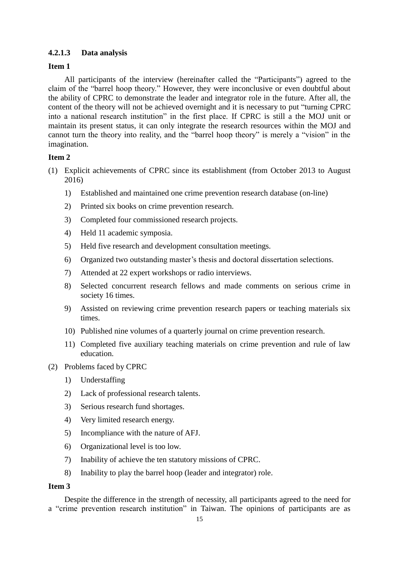## **4.2.1.3 Data analysis**

## **Item 1**

All participants of the interview (hereinafter called the "Participants") agreed to the claim of the "barrel hoop theory." However, they were inconclusive or even doubtful about the ability of CPRC to demonstrate the leader and integrator role in the future. After all, the content of the theory will not be achieved overnight and it is necessary to put "turning CPRC into a national research institution" in the first place. If CPRC is still a the MOJ unit or maintain its present status, it can only integrate the research resources within the MOJ and cannot turn the theory into reality, and the "barrel hoop theory" is merely a "vision" in the imagination.

## **Item 2**

- (1) Explicit achievements of CPRC since its establishment (from October 2013 to August 2016)
	- 1) Established and maintained one crime prevention research database (on-line)
	- 2) Printed six books on crime prevention research.
	- 3) Completed four commissioned research projects.
	- 4) Held 11 academic symposia.
	- 5) Held five research and development consultation meetings.
	- 6) Organized two outstanding master's thesis and doctoral dissertation selections.
	- 7) Attended at 22 expert workshops or radio interviews.
	- 8) Selected concurrent research fellows and made comments on serious crime in society 16 times.
	- 9) Assisted on reviewing crime prevention research papers or teaching materials six times.
	- 10) Published nine volumes of a quarterly journal on crime prevention research.
	- 11) Completed five auxiliary teaching materials on crime prevention and rule of law education.
- (2) Problems faced by CPRC
	- 1) Understaffing
	- 2) Lack of professional research talents.
	- 3) Serious research fund shortages.
	- 4) Very limited research energy.
	- 5) Incompliance with the nature of AFJ.
	- 6) Organizational level is too low.
	- 7) Inability of achieve the ten statutory missions of CPRC.
	- 8) Inability to play the barrel hoop (leader and integrator) role.

## **Item 3**

Despite the difference in the strength of necessity, all participants agreed to the need for a "crime prevention research institution" in Taiwan. The opinions of participants are as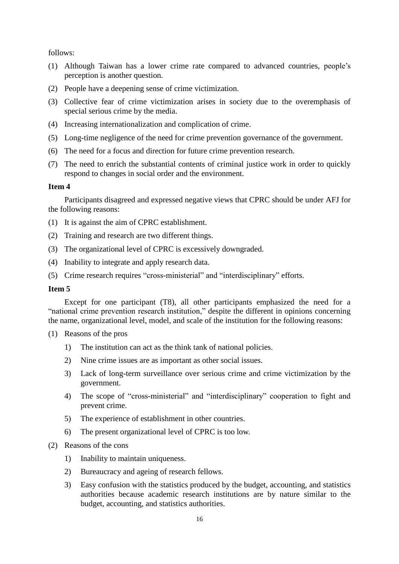follows:

- (1) Although Taiwan has a lower crime rate compared to advanced countries, people's perception is another question.
- (2) People have a deepening sense of crime victimization.
- (3) Collective fear of crime victimization arises in society due to the overemphasis of special serious crime by the media.
- (4) Increasing internationalization and complication of crime.
- (5) Long-time negligence of the need for crime prevention governance of the government.
- (6) The need for a focus and direction for future crime prevention research.
- (7) The need to enrich the substantial contents of criminal justice work in order to quickly respond to changes in social order and the environment.

## **Item 4**

Participants disagreed and expressed negative views that CPRC should be under AFJ for the following reasons:

- (1) It is against the aim of CPRC establishment.
- (2) Training and research are two different things.
- (3) The organizational level of CPRC is excessively downgraded.
- (4) Inability to integrate and apply research data.
- (5) Crime research requires "cross-ministerial" and "interdisciplinary" efforts.

#### **Item 5**

Except for one participant (T8), all other participants emphasized the need for a "national crime prevention research institution," despite the different in opinions concerning the name, organizational level, model, and scale of the institution for the following reasons:

- (1) Reasons of the pros
	- 1) The institution can act as the think tank of national policies.
	- 2) Nine crime issues are as important as other social issues.
	- 3) Lack of long-term surveillance over serious crime and crime victimization by the government.
	- 4) The scope of "cross-ministerial" and "interdisciplinary" cooperation to fight and prevent crime.
	- 5) The experience of establishment in other countries.
	- 6) The present organizational level of CPRC is too low.
- (2) Reasons of the cons
	- 1) Inability to maintain uniqueness.
	- 2) Bureaucracy and ageing of research fellows.
	- 3) Easy confusion with the statistics produced by the budget, accounting, and statistics authorities because academic research institutions are by nature similar to the budget, accounting, and statistics authorities.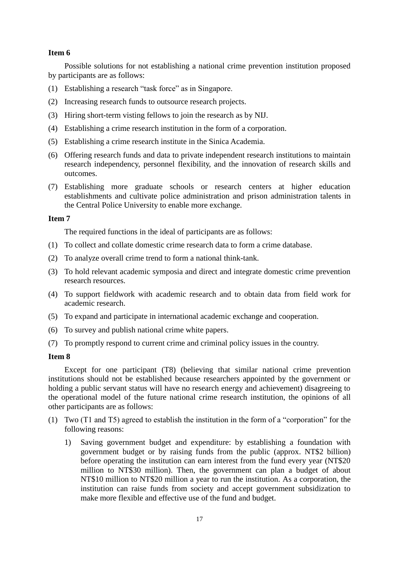## **Item 6**

Possible solutions for not establishing a national crime prevention institution proposed by participants are as follows:

- (1) Establishing a research "task force" as in Singapore.
- (2) Increasing research funds to outsource research projects.
- (3) Hiring short-term visting fellows to join the research as by NIJ.
- (4) Establishing a crime research institution in the form of a corporation.
- (5) Establishing a crime research institute in the Sinica Academia.
- (6) Offering research funds and data to private independent research institutions to maintain research independency, personnel flexibility, and the innovation of research skills and outcomes.
- (7) Establishing more graduate schools or research centers at higher education establishments and cultivate police administration and prison administration talents in the Central Police University to enable more exchange.

## **Item 7**

The required functions in the ideal of participants are as follows:

- (1) To collect and collate domestic crime research data to form a crime database.
- (2) To analyze overall crime trend to form a national think-tank.
- (3) To hold relevant academic symposia and direct and integrate domestic crime prevention research resources.
- (4) To support fieldwork with academic research and to obtain data from field work for academic research.
- (5) To expand and participate in international academic exchange and cooperation.
- (6) To survey and publish national crime white papers.
- (7) To promptly respond to current crime and criminal policy issues in the country.

## **Item 8**

Except for one participant (T8) (believing that similar national crime prevention institutions should not be established because researchers appointed by the government or holding a public servant status will have no research energy and achievement) disagreeing to the operational model of the future national crime research institution, the opinions of all other participants are as follows:

- (1) Two (T1 and T5) agreed to establish the institution in the form of a "corporation" for the following reasons:
	- 1) Saving government budget and expenditure: by establishing a foundation with government budget or by raising funds from the public (approx. NT\$2 billion) before operating the institution can earn interest from the fund every year (NT\$20 million to NT\$30 million). Then, the government can plan a budget of about NT\$10 million to NT\$20 million a year to run the institution. As a corporation, the institution can raise funds from society and accept government subsidization to make more flexible and effective use of the fund and budget.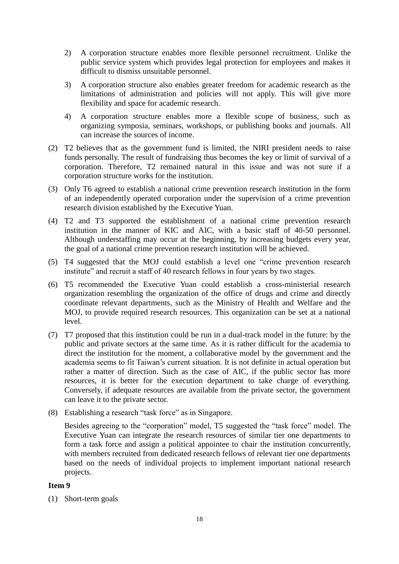- 2) A corporation structure enables more flexible personnel recruitment. Unlike the public service system which provides legal protection for employees and makes it difficult to dismiss unsuitable personnel.
- 3) A corporation structure also enables greater freedom for academic research as the limitations of administration and policies will not apply. This will give more flexibility and space for academic research.
- 4) A corporation structure enables more a flexible scope of business, such as organizing symposia, seminars, workshops, or publishing books and journals. All can increase the sources of income.
- (2) T2 believes that as the government fund is limited, the NIRI president needs to raise funds personally. The result of fundraising thus becomes the key or limit of survival of a corporation. Therefore, T2 remained natural in this issue and was not sure if a corporation structure works for the institution.
- (3) Only T6 agreed to establish a national crime prevention research institution in the form of an independently operated corporation under the supervision of a crime prevention research division established by the Executive Yuan.
- (4) T2 and T3 supported the establishment of a national crime prevention research institution in the manner of KIC and AIC, with a basic staff of 40-50 personnel. Although understaffing may occur at the beginning, by increasing budgets every year, the goal of a national crime prevention research institution will be achieved.
- (5) T4 suggested that the MOJ could establish a level one "crime prevention research institute" and recruit a staff of 40 research fellows in four years by two stages.
- (6) T5 recommended the Executive Yuan could establish a cross-ministerial research organization resembling the organization of the office of drugs and crime and directly coordinate relevant departments, such as the Ministry of Health and Welfare and the MOJ, to provide required research resources. This organization can be set at a national level.
- (7) T7 proposed that this institution could be run in a dual-track model in the future: by the public and private sectors at the same time. As it is rather difficult for the academia to direct the institution for the moment, a collaborative model by the government and the academia seems to fit Taiwan's current situation. It is not definite in actual operation but rather a matter of direction. Such as the case of AIC, if the public sector has more resources, it is better for the execution department to take charge of everything. Conversely, if adequate resources are available from the private sector, the government can leave it to the private sector.
- (8) Establishing a research "task force" as in Singapore.

Besides agreeing to the "corporation" model, T5 suggested the "task force" model. The Executive Yuan can integrate the research resources of similar tier one departments to form a task force and assign a political appointee to chair the institution concurrently, with members recruited from dedicated research fellows of relevant tier one departments based on the needs of individual projects to implement important national research projects.

#### **Item 9**

(1) Short-term goals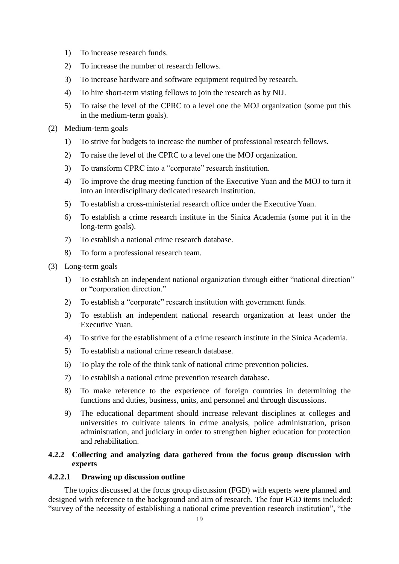- 1) To increase research funds.
- 2) To increase the number of research fellows.
- 3) To increase hardware and software equipment required by research.
- 4) To hire short-term visting fellows to join the research as by NIJ.
- 5) To raise the level of the CPRC to a level one the MOJ organization (some put this in the medium-term goals).
- (2) Medium-term goals
	- 1) To strive for budgets to increase the number of professional research fellows.
	- 2) To raise the level of the CPRC to a level one the MOJ organization.
	- 3) To transform CPRC into a "corporate" research institution.
	- 4) To improve the drug meeting function of the Executive Yuan and the MOJ to turn it into an interdisciplinary dedicated research institution.
	- 5) To establish a cross-ministerial research office under the Executive Yuan.
	- 6) To establish a crime research institute in the Sinica Academia (some put it in the long-term goals).
	- 7) To establish a national crime research database.
	- 8) To form a professional research team.
- (3) Long-term goals
	- 1) To establish an independent national organization through either "national direction" or "corporation direction."
	- 2) To establish a "corporate" research institution with government funds.
	- 3) To establish an independent national research organization at least under the Executive Yuan.
	- 4) To strive for the establishment of a crime research institute in the Sinica Academia.
	- 5) To establish a national crime research database.
	- 6) To play the role of the think tank of national crime prevention policies.
	- 7) To establish a national crime prevention research database.
	- 8) To make reference to the experience of foreign countries in determining the functions and duties, business, units, and personnel and through discussions.
	- 9) The educational department should increase relevant disciplines at colleges and universities to cultivate talents in crime analysis, police administration, prison administration, and judiciary in order to strengthen higher education for protection and rehabilitation.

## **4.2.2 Collecting and analyzing data gathered from the focus group discussion with experts**

## **4.2.2.1 Drawing up discussion outline**

The topics discussed at the focus group discussion (FGD) with experts were planned and designed with reference to the background and aim of research. The four FGD items included: "survey of the necessity of establishing a national crime prevention research institution", "the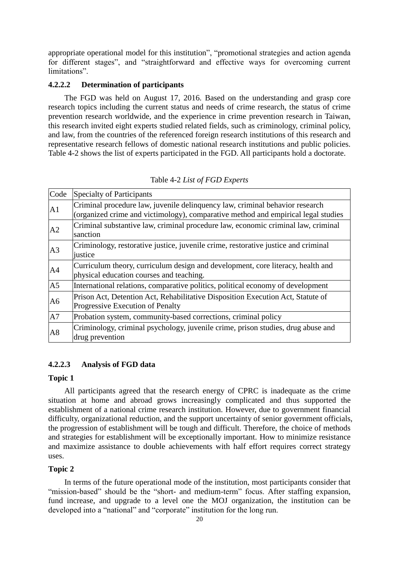appropriate operational model for this institution", "promotional strategies and action agenda for different stages", and "straightforward and effective ways for overcoming current limitations".

#### **4.2.2.2 Determination of participants**

The FGD was held on August 17, 2016. Based on the understanding and grasp core research topics including the current status and needs of crime research, the status of crime prevention research worldwide, and the experience in crime prevention research in Taiwan, this research invited eight experts studied related fields, such as criminology, criminal policy, and law, from the countries of the referenced foreign research institutions of this research and representative research fellows of domestic national research institutions and public policies. Table 4-2 shows the list of experts participated in the FGD. All participants hold a doctorate.

| Table 4-2 List of FGD Experts |  |  |  |
|-------------------------------|--|--|--|
|-------------------------------|--|--|--|

| Code           | <b>Specialty of Participants</b>                                                                                                                                  |
|----------------|-------------------------------------------------------------------------------------------------------------------------------------------------------------------|
| A1             | Criminal procedure law, juvenile delinquency law, criminal behavior research<br>(organized crime and victimology), comparative method and empirical legal studies |
| A2             | Criminal substantive law, criminal procedure law, economic criminal law, criminal<br>sanction                                                                     |
| A3             | Criminology, restorative justice, juvenile crime, restorative justice and criminal<br>justice                                                                     |
| A4             | Curriculum theory, curriculum design and development, core literacy, health and<br>physical education courses and teaching.                                       |
| A <sub>5</sub> | International relations, comparative politics, political economy of development                                                                                   |
| A <sub>6</sub> | Prison Act, Detention Act, Rehabilitative Disposition Execution Act, Statute of<br>Progressive Execution of Penalty                                               |
| A7             | Probation system, community-based corrections, criminal policy                                                                                                    |
| A8             | Criminology, criminal psychology, juvenile crime, prison studies, drug abuse and<br>drug prevention                                                               |

## **4.2.2.3 Analysis of FGD data**

#### **Topic 1**

All participants agreed that the research energy of CPRC is inadequate as the crime situation at home and abroad grows increasingly complicated and thus supported the establishment of a national crime research institution. However, due to government financial difficulty, organizational reduction, and the support uncertainty of senior government officials, the progression of establishment will be tough and difficult. Therefore, the choice of methods and strategies for establishment will be exceptionally important. How to minimize resistance and maximize assistance to double achievements with half effort requires correct strategy uses.

## **Topic 2**

In terms of the future operational mode of the institution, most participants consider that "mission-based" should be the "short- and medium-term" focus. After staffing expansion, fund increase, and upgrade to a level one the MOJ organization, the institution can be developed into a "national" and "corporate" institution for the long run.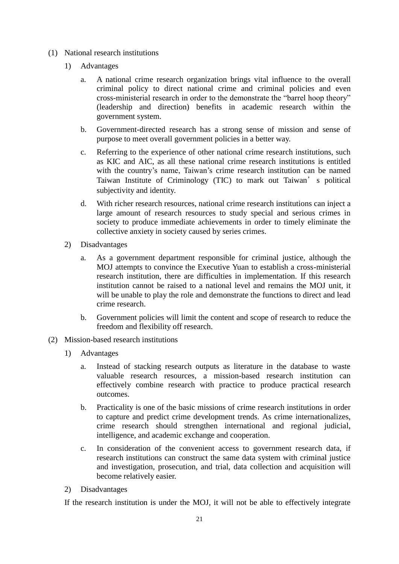- (1) National research institutions
	- 1) Advantages
		- a. A national crime research organization brings vital influence to the overall criminal policy to direct national crime and criminal policies and even cross-ministerial research in order to the demonstrate the "barrel hoop theory" (leadership and direction) benefits in academic research within the government system.
		- b. Government-directed research has a strong sense of mission and sense of purpose to meet overall government policies in a better way.
		- c. Referring to the experience of other national crime research institutions, such as KIC and AIC, as all these national crime research institutions is entitled with the country's name, Taiwan's crime research institution can be named Taiwan Institute of Criminology (TIC) to mark out Taiwan's political subjectivity and identity.
		- d. With richer research resources, national crime research institutions can inject a large amount of research resources to study special and serious crimes in society to produce immediate achievements in order to timely eliminate the collective anxiety in society caused by series crimes.
	- 2) Disadvantages
		- a. As a government department responsible for criminal justice, although the MOJ attempts to convince the Executive Yuan to establish a cross-ministerial research institution, there are difficulties in implementation. If this research institution cannot be raised to a national level and remains the MOJ unit, it will be unable to play the role and demonstrate the functions to direct and lead crime research.
		- b. Government policies will limit the content and scope of research to reduce the freedom and flexibility off research.
- (2) Mission-based research institutions
	- 1) Advantages
		- a. Instead of stacking research outputs as literature in the database to waste valuable research resources, a mission-based research institution can effectively combine research with practice to produce practical research outcomes.
		- b. Practicality is one of the basic missions of crime research institutions in order to capture and predict crime development trends. As crime internationalizes, crime research should strengthen international and regional judicial, intelligence, and academic exchange and cooperation.
		- c. In consideration of the convenient access to government research data, if research institutions can construct the same data system with criminal justice and investigation, prosecution, and trial, data collection and acquisition will become relatively easier.
	- 2) Disadvantages

If the research institution is under the MOJ, it will not be able to effectively integrate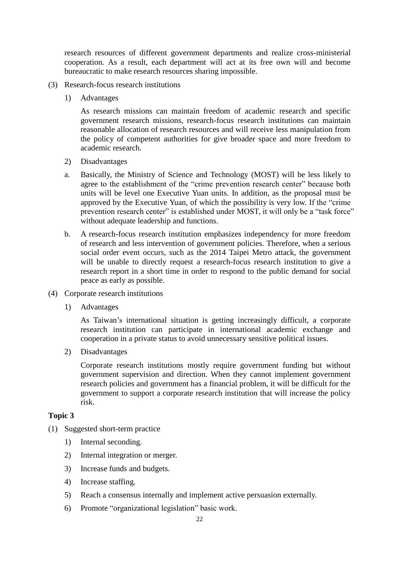research resources of different government departments and realize cross-ministerial cooperation. As a result, each department will act at its free own will and become bureaucratic to make research resources sharing impossible.

- (3) Research-focus research institutions
	- 1) Advantages

As research missions can maintain freedom of academic research and specific government research missions, research-focus research institutions can maintain reasonable allocation of research resources and will receive less manipulation from the policy of competent authorities for give broader space and more freedom to academic research.

- 2) Disadvantages
- a. Basically, the Ministry of Science and Technology (MOST) will be less likely to agree to the establishment of the "crime prevention research center" because both units will be level one Executive Yuan units. In addition, as the proposal must be approved by the Executive Yuan, of which the possibility is very low. If the "crime prevention research center" is established under MOST, it will only be a "task force" without adequate leadership and functions.
- b. A research-focus research institution emphasizes independency for more freedom of research and less intervention of government policies. Therefore, when a serious social order event occurs, such as the 2014 Taipei Metro attack, the government will be unable to directly request a research-focus research institution to give a research report in a short time in order to respond to the public demand for social peace as early as possible.
- (4) Corporate research institutions
	- 1) Advantages

As Taiwan's international situation is getting increasingly difficult, a corporate research institution can participate in international academic exchange and cooperation in a private status to avoid unnecessary sensitive political issues.

2) Disadvantages

Corporate research institutions mostly require government funding but without government supervision and direction. When they cannot implement government research policies and government has a financial problem, it will be difficult for the government to support a corporate research institution that will increase the policy risk.

## **Topic 3**

- (1) Suggested short-term practice
	- 1) Internal seconding.
	- 2) Internal integration or merger.
	- 3) Increase funds and budgets.
	- 4) Increase staffing.
	- 5) Reach a consensus internally and implement active persuasion externally.
	- 6) Promote "organizational legislation" basic work.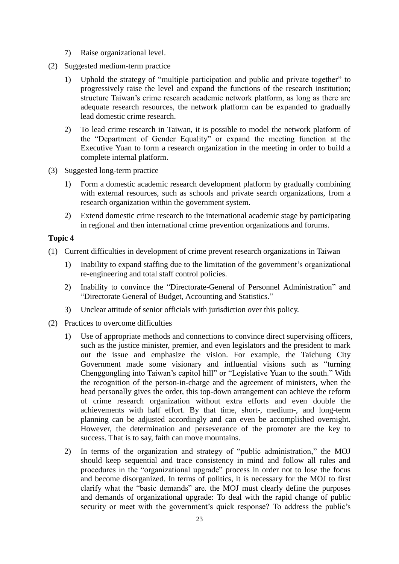- 7) Raise organizational level.
- (2) Suggested medium-term practice
	- 1) Uphold the strategy of "multiple participation and public and private together" to progressively raise the level and expand the functions of the research institution; structure Taiwan's crime research academic network platform, as long as there are adequate research resources, the network platform can be expanded to gradually lead domestic crime research.
	- 2) To lead crime research in Taiwan, it is possible to model the network platform of the "Department of Gender Equality" or expand the meeting function at the Executive Yuan to form a research organization in the meeting in order to build a complete internal platform.
- (3) Suggested long-term practice
	- 1) Form a domestic academic research development platform by gradually combining with external resources, such as schools and private search organizations, from a research organization within the government system.
	- 2) Extend domestic crime research to the international academic stage by participating in regional and then international crime prevention organizations and forums.

#### **Topic 4**

- (1) Current difficulties in development of crime prevent research organizations in Taiwan
	- 1) Inability to expand staffing due to the limitation of the government's organizational re-engineering and total staff control policies.
	- 2) Inability to convince the "Directorate-General of Personnel Administration" and "Directorate General of Budget, Accounting and Statistics."
	- 3) Unclear attitude of senior officials with jurisdiction over this policy.
- (2) Practices to overcome difficulties
	- 1) Use of appropriate methods and connections to convince direct supervising officers, such as the justice minister, premier, and even legislators and the president to mark out the issue and emphasize the vision. For example, the Taichung City Government made some visionary and influential visions such as "turning Chenggongling into Taiwan's capitol hill" or "Legislative Yuan to the south." With the recognition of the person-in-charge and the agreement of ministers, when the head personally gives the order, this top-down arrangement can achieve the reform of crime research organization without extra efforts and even double the achievements with half effort. By that time, short-, medium-, and long-term planning can be adjusted accordingly and can even be accomplished overnight. However, the determination and perseverance of the promoter are the key to success. That is to say, faith can move mountains.
	- 2) In terms of the organization and strategy of "public administration," the MOJ should keep sequential and trace consistency in mind and follow all rules and procedures in the "organizational upgrade" process in order not to lose the focus and become disorganized. In terms of politics, it is necessary for the MOJ to first clarify what the "basic demands" are. the MOJ must clearly define the purposes and demands of organizational upgrade: To deal with the rapid change of public security or meet with the government's quick response? To address the public's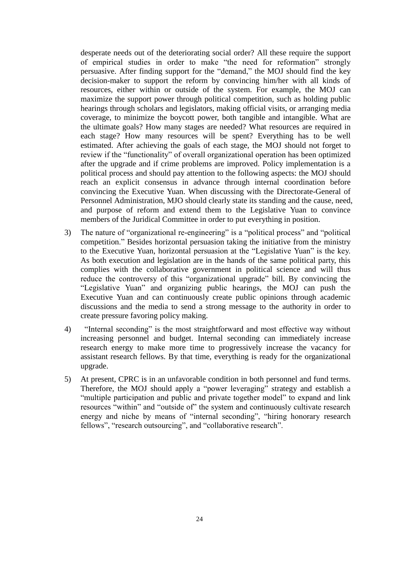desperate needs out of the deteriorating social order? All these require the support of empirical studies in order to make "the need for reformation" strongly persuasive. After finding support for the "demand," the MOJ should find the key decision-maker to support the reform by convincing him/her with all kinds of resources, either within or outside of the system. For example, the MOJ can maximize the support power through political competition, such as holding public hearings through scholars and legislators, making official visits, or arranging media coverage, to minimize the boycott power, both tangible and intangible. What are the ultimate goals? How many stages are needed? What resources are required in each stage? How many resources will be spent? Everything has to be well estimated. After achieving the goals of each stage, the MOJ should not forget to review if the "functionality" of overall organizational operation has been optimized after the upgrade and if crime problems are improved. Policy implementation is a political process and should pay attention to the following aspects: the MOJ should reach an explicit consensus in advance through internal coordination before convincing the Executive Yuan. When discussing with the Directorate-General of Personnel Administration, MJO should clearly state its standing and the cause, need, and purpose of reform and extend them to the Legislative Yuan to convince members of the Juridical Committee in order to put everything in position.

- 3) The nature of "organizational re-engineering" is a "political process" and "political competition." Besides horizontal persuasion taking the initiative from the ministry to the Executive Yuan, horizontal persuasion at the "Legislative Yuan" is the key. As both execution and legislation are in the hands of the same political party, this complies with the collaborative government in political science and will thus reduce the controversy of this "organizational upgrade" bill. By convincing the "Legislative Yuan" and organizing public hearings, the MOJ can push the Executive Yuan and can continuously create public opinions through academic discussions and the media to send a strong message to the authority in order to create pressure favoring policy making.
- 4) "Internal seconding" is the most straightforward and most effective way without increasing personnel and budget. Internal seconding can immediately increase research energy to make more time to progressively increase the vacancy for assistant research fellows. By that time, everything is ready for the organizational upgrade.
- 5) At present, CPRC is in an unfavorable condition in both personnel and fund terms. Therefore, the MOJ should apply a "power leveraging" strategy and establish a "multiple participation and public and private together model" to expand and link resources "within" and "outside of" the system and continuously cultivate research energy and niche by means of "internal seconding", "hiring honorary research fellows", "research outsourcing", and "collaborative research".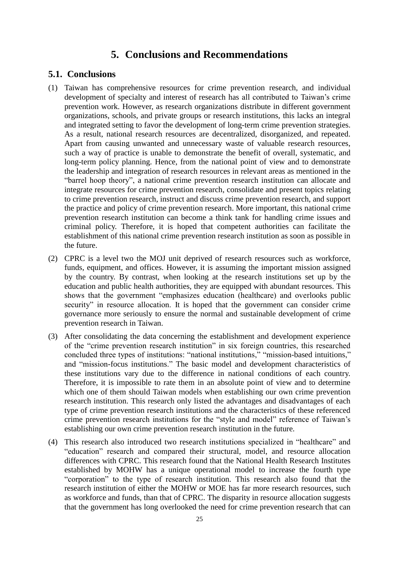## **5. Conclusions and Recommendations**

## **5.1. Conclusions**

- (1) Taiwan has comprehensive resources for crime prevention research, and individual development of specialty and interest of research has all contributed to Taiwan's crime prevention work. However, as research organizations distribute in different government organizations, schools, and private groups or research institutions, this lacks an integral and integrated setting to favor the development of long-term crime prevention strategies. As a result, national research resources are decentralized, disorganized, and repeated. Apart from causing unwanted and unnecessary waste of valuable research resources, such a way of practice is unable to demonstrate the benefit of overall, systematic, and long-term policy planning. Hence, from the national point of view and to demonstrate the leadership and integration of research resources in relevant areas as mentioned in the "barrel hoop theory", a national crime prevention research institution can allocate and integrate resources for crime prevention research, consolidate and present topics relating to crime prevention research, instruct and discuss crime prevention research, and support the practice and policy of crime prevention research. More important, this national crime prevention research institution can become a think tank for handling crime issues and criminal policy. Therefore, it is hoped that competent authorities can facilitate the establishment of this national crime prevention research institution as soon as possible in the future.
- (2) CPRC is a level two the MOJ unit deprived of research resources such as workforce, funds, equipment, and offices. However, it is assuming the important mission assigned by the country. By contrast, when looking at the research institutions set up by the education and public health authorities, they are equipped with abundant resources. This shows that the government "emphasizes education (healthcare) and overlooks public security" in resource allocation. It is hoped that the government can consider crime governance more seriously to ensure the normal and sustainable development of crime prevention research in Taiwan.
- (3) After consolidating the data concerning the establishment and development experience of the "crime prevention research institution" in six foreign countries, this researched concluded three types of institutions: "national institutions," "mission-based intuitions," and "mission-focus institutions." The basic model and development characteristics of these institutions vary due to the difference in national conditions of each country. Therefore, it is impossible to rate them in an absolute point of view and to determine which one of them should Taiwan models when establishing our own crime prevention research institution. This research only listed the advantages and disadvantages of each type of crime prevention research institutions and the characteristics of these referenced crime prevention research institutions for the "style and model" reference of Taiwan's establishing our own crime prevention research institution in the future.
- (4) This research also introduced two research institutions specialized in "healthcare" and "education" research and compared their structural, model, and resource allocation differences with CPRC. This research found that the National Health Research Institutes established by MOHW has a unique operational model to increase the fourth type "corporation" to the type of research institution. This research also found that the research institution of either the MOHW or MOE has far more research resources, such as workforce and funds, than that of CPRC. The disparity in resource allocation suggests that the government has long overlooked the need for crime prevention research that can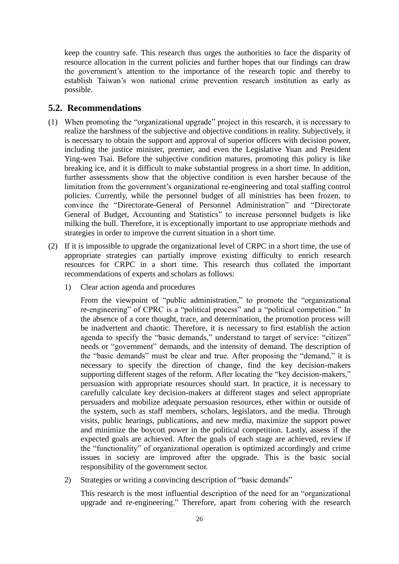keep the country safe. This research thus urges the authorities to face the disparity of resource allocation in the current policies and further hopes that our findings can draw the government's attention to the importance of the research topic and thereby to establish Taiwan's won national crime prevention research institution as early as possible.

## **5.2. Recommendations**

- (1) When promoting the "organizational upgrade" project in this research, it is necessary to realize the harshness of the subjective and objective conditions in reality. Subjectively, it is necessary to obtain the support and approval of superior officers with decision power, including the justice minister, premier, and even the Legislative Yuan and President Ying-wen Tsai. Before the subjective condition matures, promoting this policy is like breaking ice, and it is difficult to make substantial progress in a short time. In addition, further assessments show that the objective condition is even harsher because of the limitation from the government's organizational re-engineering and total staffing control policies. Currently, while the personnel budget of all ministries has been frozen, to convince the "Directorate-General of Personnel Administration" and "Directorate General of Budget, Accounting and Statistics" to increase personnel budgets is like milking the bull. Therefore, it is exceptionally important to use appropriate methods and strategies in order to improve the current situation in a short time.
- (2) If it is impossible to upgrade the organizational level of CRPC in a short time, the use of appropriate strategies can partially improve existing difficulty to enrich research resources for CRPC in a short time. This research thus collated the important recommendations of experts and scholars as follows:
	- 1) Clear action agenda and procedures

From the viewpoint of "public administration," to promote the "organizational re-engineering" of CPRC is a "political process" and a "political competition." In the absence of a core thought, trace, and determination, the promotion process will be inadvertent and chaotic. Therefore, it is necessary to first establish the action agenda to specify the "basic demands," understand to target of service: "citizen" needs or "government" demands, and the intensity of demand. The description of the "basic demands" must be clear and true. After proposing the "demand," it is necessary to specify the direction of change, find the key decision-makers supporting different stages of the reform. After locating the "key decision-makers," persuasion with appropriate resources should start. In practice, it is necessary to carefully calculate key decision-makers at different stages and select appropriate persuaders and mobilize adequate persuasion resources, ether within or outside of the system, such as staff members, scholars, legislators, and the media. Through visits, public hearings, publications, and new media, maximize the support power and minimize the boycott power in the political competition. Lastly, assess if the expected goals are achieved. After the goals of each stage are achieved, review if the "functionality" of organizational operation is optimized accordingly and crime issues in society are improved after the upgrade. This is the basic social responsibility of the government sector.

2) Strategies or writing a convincing description of "basic demands"

This research is the most influential description of the need for an "organizational upgrade and re-engineering." Therefore, apart from cohering with the research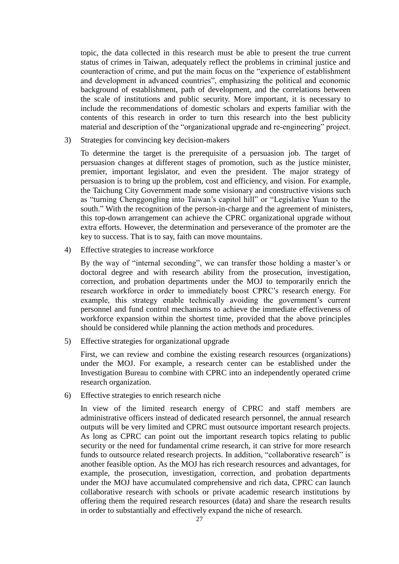topic, the data collected in this research must be able to present the true current status of crimes in Taiwan, adequately reflect the problems in criminal justice and counteraction of crime, and put the main focus on the "experience of establishment and development in advanced countries", emphasizing the political and economic background of establishment, path of development, and the correlations between the scale of institutions and public security. More important, it is necessary to include the recommendations of domestic scholars and experts familiar with the contents of this research in order to turn this research into the best publicity material and description of the "organizational upgrade and re-engineering" project.

3) Strategies for convincing key decision-makers

To determine the target is the prerequisite of a persuasion job. The target of persuasion changes at different stages of promotion, such as the justice minister, premier, important legislator, and even the president. The major strategy of persuasion is to bring up the problem, cost and efficiency, and vision. For example, the Taichung City Government made some visionary and constructive visions such as "turning Chenggongling into Taiwan's capitol hill" or "Legislative Yuan to the south." With the recognition of the person-in-charge and the agreement of ministers, this top-down arrangement can achieve the CPRC organizational upgrade without extra efforts. However, the determination and perseverance of the promoter are the key to success. That is to say, faith can move mountains.

4) Effective strategies to increase workforce

By the way of "internal seconding", we can transfer those holding a master's or doctoral degree and with research ability from the prosecution, investigation, correction, and probation departments under the MOJ to temporarily enrich the research workforce in order to immediately boost CPRC's research energy. For example, this strategy enable technically avoiding the government's current personnel and fund control mechanisms to achieve the immediate effectiveness of workforce expansion within the shortest time, provided that the above principles should be considered while planning the action methods and procedures.

5) Effective strategies for organizational upgrade

First, we can review and combine the existing research resources (organizations) under the MOJ. For example, a research center can be established under the Investigation Bureau to combine with CPRC into an independently operated crime research organization.

6) Effective strategies to enrich research niche

In view of the limited research energy of CPRC and staff members are administrative officers instead of dedicated research personnel, the annual research outputs will be very limited and CPRC must outsource important research projects. As long as CPRC can point out the important research topics relating to public security or the need for fundamental crime research, it can strive for more research funds to outsource related research projects. In addition, "collaborative research" is another feasible option. As the MOJ has rich research resources and advantages, for example, the prosecution, investigation, correction, and probation departments under the MOJ have accumulated comprehensive and rich data, CPRC can launch collaborative research with schools or private academic research institutions by offering them the required research resources (data) and share the research results in order to substantially and effectively expand the niche of research.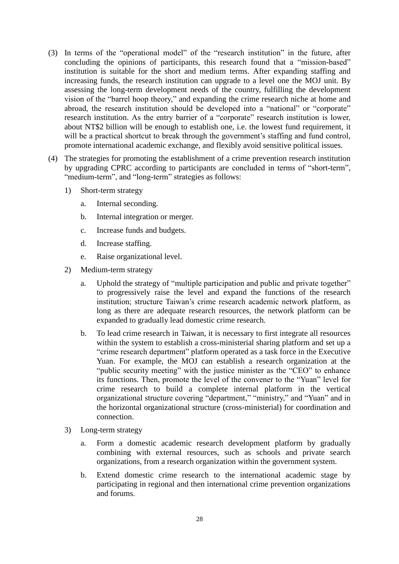- (3) In terms of the "operational model" of the "research institution" in the future, after concluding the opinions of participants, this research found that a "mission-based" institution is suitable for the short and medium terms. After expanding staffing and increasing funds, the research institution can upgrade to a level one the MOJ unit. By assessing the long-term development needs of the country, fulfilling the development vision of the "barrel hoop theory," and expanding the crime research niche at home and abroad, the research institution should be developed into a "national" or "corporate" research institution. As the entry barrier of a "corporate" research institution is lower, about NT\$2 billion will be enough to establish one, i.e. the lowest fund requirement, it will be a practical shortcut to break through the government's staffing and fund control, promote international academic exchange, and flexibly avoid sensitive political issues.
- (4) The strategies for promoting the establishment of a crime prevention research institution by upgrading CPRC according to participants are concluded in terms of "short-term", "medium-term", and "long-term" strategies as follows:
	- 1) Short-term strategy
		- a. Internal seconding.
		- b. Internal integration or merger.
		- c. Increase funds and budgets.
		- d. Increase staffing.
		- e. Raise organizational level.
	- 2) Medium-term strategy
		- a. Uphold the strategy of "multiple participation and public and private together" to progressively raise the level and expand the functions of the research institution; structure Taiwan's crime research academic network platform, as long as there are adequate research resources, the network platform can be expanded to gradually lead domestic crime research.
		- b. To lead crime research in Taiwan, it is necessary to first integrate all resources within the system to establish a cross-ministerial sharing platform and set up a "crime research department" platform operated as a task force in the Executive Yuan. For example, the MOJ can establish a research organization at the "public security meeting" with the justice minister as the "CEO" to enhance its functions. Then, promote the level of the convener to the "Yuan" level for crime research to build a complete internal platform in the vertical organizational structure covering "department," "ministry," and "Yuan" and in the horizontal organizational structure (cross-ministerial) for coordination and connection.
	- 3) Long-term strategy
		- a. Form a domestic academic research development platform by gradually combining with external resources, such as schools and private search organizations, from a research organization within the government system.
		- b. Extend domestic crime research to the international academic stage by participating in regional and then international crime prevention organizations and forums.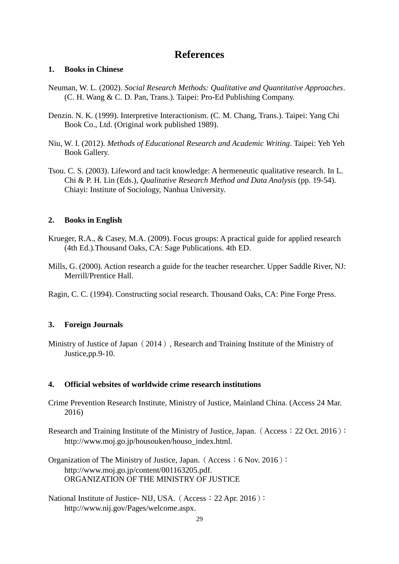## **References**

## **1. Books in Chinese**

- Neuman, W. L. (2002). *Social Research Methods: Qualitative and Quantitative Approaches*. (C. H. Wang & C. D. Pan, Trans.). Taipei: Pro-Ed Publishing Company.
- Denzin. N. K. (1999). Interpretive Interactionism. (C. M. Chang, Trans.). Taipei: Yang Chi Book Co., Ltd. (Original work published 1989).
- Niu, W. I. (2012). *Methods of Educational Research and Academic Writing*. Taipei: Yeh Yeh Book Gallery.
- Tsou. C. S. (2003). Lifeword and tacit knowledge: A hermeneutic qualitative research. In L. Chi & P. H. Lin (Eds.), *Qualitative Research Method and Data Analysis* (pp. 19-54). Chiayi: Institute of Sociology, Nanhua University.

## **2. Books in English**

- Krueger, R.A., & Casey, M.A. (2009). Focus groups: A practical guide for applied research (4th Ed.).Thousand Oaks, CA: Sage Publications. 4th ED.
- Mills, G. (2000). Action research a guide for the teacher researcher. Upper Saddle River, NJ: Merrill/Prentice Hall.
- Ragin, C. C. (1994). Constructing social research. Thousand Oaks, CA: Pine Forge Press.

## **3. Foreign Journals**

Ministry of Justice of Japan (2014), Research and Training Institute of the Ministry of Justice,pp.9-10.

## **4. Official websites of worldwide crime research institutions**

- Crime Prevention Research Institute, Ministry of Justice, Mainland China. (Access 24 Mar. 2016)
- Research and Training Institute of the Ministry of Justice, Japan. (Access: 22 Oct. 2016): http://www.moj.go.jp/housouken/houso\_index.html.
- Organization of The Ministry of Justice, Japan. (Access: 6 Nov. 2016): http://www.moj.go.jp/content/001163205.pdf. ORGANIZATION OF THE MINISTRY OF JUSTICE
- National Institute of Justice- NIJ, USA. (Access: 22 Apr. 2016): http://www.nij.gov/Pages/welcome.aspx.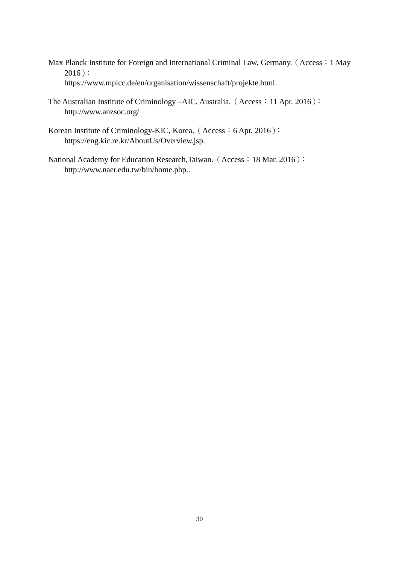- Max Planck Institute for Foreign and International Criminal Law, Germany. (Access: 1 May  $2016$ ): https://www.mpicc.de/en/organisation/wissenschaft/projekte.html.
- The Australian Institute of Criminology –AIC, Australia. (Access: 11 Apr. 2016): http://www.anzsoc.org/
- Korean Institute of Criminology-KIC, Korea. (Access: 6 Apr. 2016): https://eng.kic.re.kr/AboutUs/Overview.jsp.
- National Academy for Education Research, Taiwan. (Access: 18 Mar. 2016): http://www.naer.edu.tw/bin/home.php..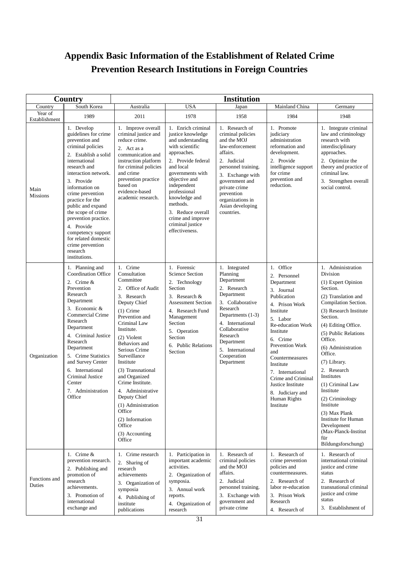# **Appendix Basic Information of the Establishment of Related Crime Prevention Research Institutions in Foreign Countries**

| Country                  |                                                                                                                                                                                                                                                                                                                                                                                                                    | <b>Institution</b>                                                                                                                                                                                                                                                                                                                                                                                                              |                                                                                                                                                                                                                                                                                                                    |                                                                                                                                                                                                                                                    |                                                                                                                                                                                                                                                                                                                                         |                                                                                                                                                                                                                                                                                                                                                                                                                                                                           |
|--------------------------|--------------------------------------------------------------------------------------------------------------------------------------------------------------------------------------------------------------------------------------------------------------------------------------------------------------------------------------------------------------------------------------------------------------------|---------------------------------------------------------------------------------------------------------------------------------------------------------------------------------------------------------------------------------------------------------------------------------------------------------------------------------------------------------------------------------------------------------------------------------|--------------------------------------------------------------------------------------------------------------------------------------------------------------------------------------------------------------------------------------------------------------------------------------------------------------------|----------------------------------------------------------------------------------------------------------------------------------------------------------------------------------------------------------------------------------------------------|-----------------------------------------------------------------------------------------------------------------------------------------------------------------------------------------------------------------------------------------------------------------------------------------------------------------------------------------|---------------------------------------------------------------------------------------------------------------------------------------------------------------------------------------------------------------------------------------------------------------------------------------------------------------------------------------------------------------------------------------------------------------------------------------------------------------------------|
| Country                  | South Korea                                                                                                                                                                                                                                                                                                                                                                                                        | Australia                                                                                                                                                                                                                                                                                                                                                                                                                       | <b>USA</b>                                                                                                                                                                                                                                                                                                         | Japan                                                                                                                                                                                                                                              | Mainland China                                                                                                                                                                                                                                                                                                                          | Germany                                                                                                                                                                                                                                                                                                                                                                                                                                                                   |
| Year of<br>Establishment | 1989                                                                                                                                                                                                                                                                                                                                                                                                               | 2011                                                                                                                                                                                                                                                                                                                                                                                                                            | 1978                                                                                                                                                                                                                                                                                                               | 1958                                                                                                                                                                                                                                               | 1984                                                                                                                                                                                                                                                                                                                                    | 1948                                                                                                                                                                                                                                                                                                                                                                                                                                                                      |
| Main<br><b>Missions</b>  | 1. Develop<br>guidelines for crime<br>prevention and<br>criminal policies<br>2. Establish a solid<br>international<br>research and<br>interaction network.<br>3. Provide<br>information on<br>crime prevention<br>practice for the<br>public and expand<br>the scope of crime<br>prevention practice.<br>4. Provide<br>competency support<br>for related domestic<br>crime prevention<br>research<br>institutions. | 1. Improve overall<br>criminal justice and<br>reduce crime.<br>2. Act as a<br>communication and<br>instruction platform<br>for criminal policies<br>and crime<br>prevention practice<br>based on<br>evidence-based<br>academic research.                                                                                                                                                                                        | 1. Enrich criminal<br>justice knowledge<br>and understanding<br>with scientific<br>approaches.<br>2. Provide federal<br>and local<br>governments with<br>objective and<br>independent<br>professional<br>knowledge and<br>methods.<br>3. Reduce overall<br>crime and improve<br>criminal justice<br>effectiveness. | 1. Research of<br>criminal policies<br>and the MOJ<br>law-enforcement<br>affairs.<br>2. Judicial<br>personnel training.<br>3. Exchange with<br>government and<br>private crime<br>prevention<br>organizations in<br>Asian developing<br>countries. | 1. Promote<br>judiciary<br>administration<br>reformation and<br>development.<br>2. Provide<br>intelligence support<br>for crime<br>prevention and<br>reduction.                                                                                                                                                                         | 1. Integrate criminal<br>law and criminology<br>research with<br>interdisciplinary<br>approaches.<br>2. Optimize the<br>theory and practice of<br>criminal law.<br>3. Strengthen overall<br>social control.                                                                                                                                                                                                                                                               |
| Organization             | 1. Planning and<br><b>Coordination Office</b><br>2. Crime $&$<br>Prevention<br>Research<br>Department<br>3. Economic &<br>Commercial Crime<br>Research<br>Department<br>4. Criminal Justice<br>Research<br>Department<br>5. Crime Statistics<br>and Survey Center<br>6. International<br>Criminal Justice<br>Center<br>7. Administration<br>Office                                                                 | 1. Crime<br>Consultation<br>Committee<br>2. Office of Audit<br>3. Research<br>Deputy Chief<br>$(1)$ Crime<br>Prevention and<br>Criminal Law<br>Institute.<br>(2) Violent<br>Behaviors and<br>Serious Crime<br>Surveillance<br>Institute<br>(3) Transnational<br>and Organized<br>Crime Institute.<br>4. Administrative<br>Deputy Chief<br>(1) Administration<br>Office<br>(2) Information<br>Office<br>(3) Accounting<br>Office | 1. Forensic<br><b>Science Section</b><br>2. Technology<br>Section<br>3. Research $&$<br><b>Assessment Section</b><br>4. Research Fund<br>Management<br>Section<br>5. Operation<br>Section<br>6. Public Relations<br>Section                                                                                        | 1. Integrated<br>Planning<br>Department<br>2. Research<br>Department<br>3. Collaborative<br>Research<br>Departments (1-3)<br>4. International<br>Collaborative<br>Research<br>Department<br>5. International<br>Cooperation<br>Department          | 1. Office<br>2. Personnel<br>Department<br>3. Journal<br>Publication<br>4. Prison Work<br>Institute<br>5. Labor<br>Re-education Work<br>Institute<br>6. Crime<br>Prevention Work<br>and<br>Countermeasures<br>Institute<br>7. International<br>Crime and Criminal<br>Justice Institute<br>8. Judiciary and<br>Human Rights<br>Institute | 1. Administration<br>Division<br>(1) Expert Opinion<br>Section.<br>(2) Translation and<br>Compilation Section.<br>(3) Research Institute<br>Section.<br>(4) Editing Office.<br>(5) Public Relations<br>Office.<br>(6) Administration<br>Office.<br>(7) Library.<br>2. Research<br>Institutes<br>(1) Criminal Law<br>Institute<br>(2) Criminology<br>Institute<br>(3) Max Plank<br>Institute for Human<br>Development<br>(Max-Planck-Institut<br>für<br>Bildungsforschung) |
| Functions and<br>Duties  | 1. Crime $&$<br>prevention research.<br>2. Publishing and<br>promotion of<br>research<br>achievements.<br>3. Promotion of<br>international<br>exchange and                                                                                                                                                                                                                                                         | 1. Crime research<br>2. Sharing of<br>research<br>achievements<br>3. Organization of<br>symposia<br>4. Publishing of<br>institute<br>publications                                                                                                                                                                                                                                                                               | 1. Participation in<br>important academic<br>activities.<br>2. Organization of<br>symposia.<br>3. Annual work<br>reports.<br>4. Organization of<br>research                                                                                                                                                        | 1. Research of<br>criminal policies<br>and the MOJ<br>affairs.<br>2. Judicial<br>personnel training.<br>3. Exchange with<br>government and<br>private crime                                                                                        | 1. Research of<br>crime prevention<br>policies and<br>countermeasures.<br>2. Research of<br>labor re-education<br>3. Prison Work<br>Research<br>4. Research of                                                                                                                                                                          | 1. Research of<br>international criminal<br>justice and crime<br>status<br>2. Research of<br>transnational criminal<br>justice and crime<br>status<br>3. Establishment of                                                                                                                                                                                                                                                                                                 |